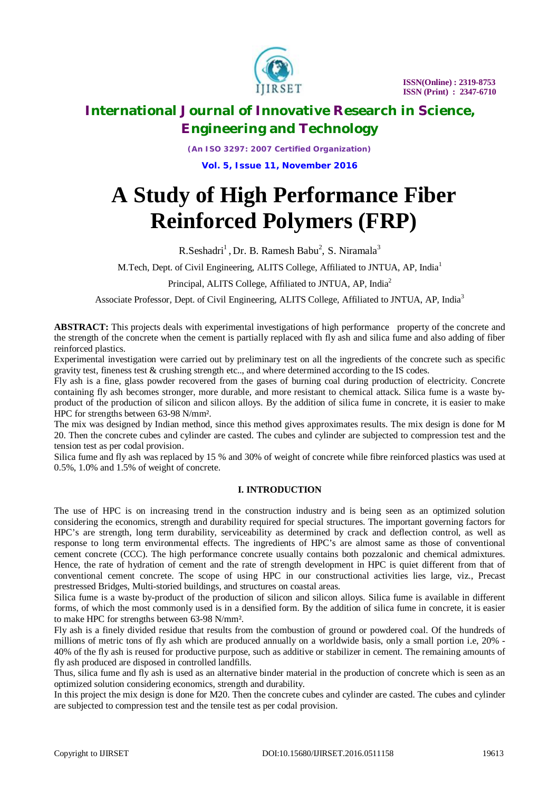

*(An ISO 3297: 2007 Certified Organization)* **Vol. 5, Issue 11, November 2016**

# **A Study of High Performance Fiber Reinforced Polymers (FRP)**

R.Seshadri<sup>1</sup>, Dr. B. Ramesh Babu<sup>2</sup>, S. Niramala<sup>3</sup>

M.Tech, Dept. of Civil Engineering, ALITS College, Affiliated to JNTUA, AP, India<sup>1</sup>

Principal, ALITS College, Affiliated to JNTUA, AP, India<sup>2</sup>

Associate Professor*,* Dept. of Civil Engineering, ALITS College, Affiliated to JNTUA, AP, India<sup>3</sup>

**ABSTRACT:** This projects deals with experimental investigations of high performance property of the concrete and the strength of the concrete when the cement is partially replaced with fly ash and silica fume and also adding of fiber reinforced plastics.

Experimental investigation were carried out by preliminary test on all the ingredients of the concrete such as specific gravity test, fineness test & crushing strength etc.., and where determined according to the IS codes.

Fly ash is a fine, glass powder recovered from the gases of burning coal during production of electricity. Concrete containing fly ash becomes stronger, more durable, and more resistant to chemical attack. Silica fume is a waste byproduct of the production of silicon and silicon alloys. By the addition of silica fume in concrete, it is easier to make HPC for strengths between 63-98 N/mm².

The mix was designed by Indian method, since this method gives approximates results. The mix design is done for M 20. Then the concrete cubes and cylinder are casted. The cubes and cylinder are subjected to compression test and the tension test as per codal provision.

Silica fume and fly ash was replaced by 15 % and 30% of weight of concrete while fibre reinforced plastics was used at 0.5%, 1.0% and 1.5% of weight of concrete.

#### **I. INTRODUCTION**

The use of HPC is on increasing trend in the construction industry and is being seen as an optimized solution considering the economics, strength and durability required for special structures. The important governing factors for HPC's are strength, long term durability, serviceability as determined by crack and deflection control, as well as response to long term environmental effects. The ingredients of HPC's are almost same as those of conventional cement concrete (CCC). The high performance concrete usually contains both pozzalonic and chemical admixtures. Hence, the rate of hydration of cement and the rate of strength development in HPC is quiet different from that of conventional cement concrete. The scope of using HPC in our constructional activities lies large, viz., Precast prestressed Bridges, Multi-storied buildings, and structures on coastal areas.

Silica fume is a waste by-product of the production of silicon and silicon alloys. Silica fume is available in different forms, of which the most commonly used is in a densified form. By the addition of silica fume in concrete, it is easier to make HPC for strengths between 63-98 N/mm².

Fly ash is a finely divided residue that results from the combustion of ground or powdered coal. Of the hundreds of millions of metric tons of fly ash which are produced annually on a worldwide basis, only a small portion i.e, 20% - 40% of the fly ash is reused for productive purpose, such as additive or stabilizer in cement. The remaining amounts of fly ash produced are disposed in controlled landfills.

Thus, silica fume and fly ash is used as an alternative binder material in the production of concrete which is seen as an optimized solution considering economics, strength and durability.

In this project the mix design is done for M20. Then the concrete cubes and cylinder are casted. The cubes and cylinder are subjected to compression test and the tensile test as per codal provision.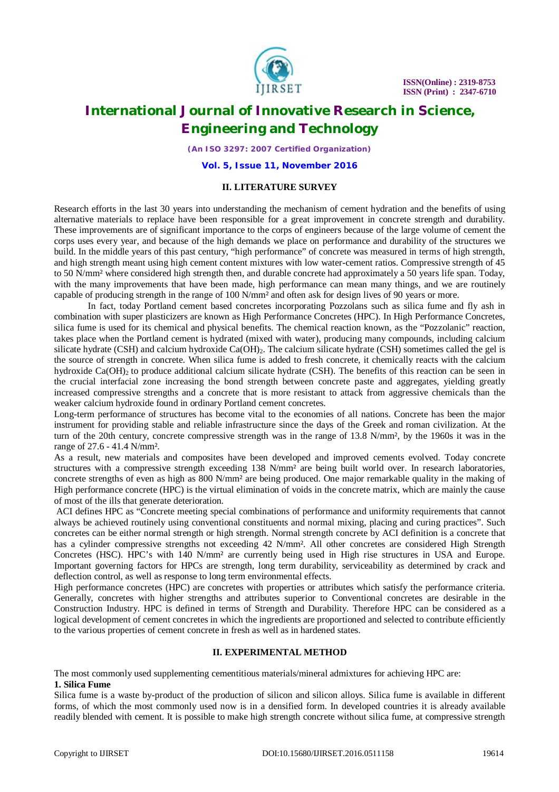

*(An ISO 3297: 2007 Certified Organization)*

**Vol. 5, Issue 11, November 2016**

#### **II. LITERATURE SURVEY**

Research efforts in the last 30 years into understanding the mechanism of cement hydration and the benefits of using alternative materials to replace have been responsible for a great improvement in concrete strength and durability. These improvements are of significant importance to the corps of engineers because of the large volume of cement the corps uses every year, and because of the high demands we place on performance and durability of the structures we build. In the middle years of this past century, "high performance" of concrete was measured in terms of high strength, and high strength meant using high cement content mixtures with low water-cement ratios. Compressive strength of 45 to 50 N/mm² where considered high strength then, and durable concrete had approximately a 50 years life span. Today, with the many improvements that have been made, high performance can mean many things, and we are routinely capable of producing strength in the range of 100 N/mm<sup>2</sup> and often ask for design lives of 90 years or more.

In fact, today Portland cement based concretes incorporating Pozzolans such as silica fume and fly ash in combination with super plasticizers are known as High Performance Concretes (HPC). In High Performance Concretes, silica fume is used for its chemical and physical benefits. The chemical reaction known, as the "Pozzolanic" reaction, takes place when the Portland cement is hydrated (mixed with water), producing many compounds, including calcium silicate hydrate (CSH) and calcium hydroxide  $Ca(OH)$ . The calcium silicate hydrate (CSH) sometimes called the gel is the source of strength in concrete. When silica fume is added to fresh concrete, it chemically reacts with the calcium hydroxide  $Ca(OH)_2$  to produce additional calcium silicate hydrate (CSH). The benefits of this reaction can be seen in the crucial interfacial zone increasing the bond strength between concrete paste and aggregates, yielding greatly increased compressive strengths and a concrete that is more resistant to attack from aggressive chemicals than the weaker calcium hydroxide found in ordinary Portland cement concretes.

Long-term performance of structures has become vital to the economies of all nations. Concrete has been the major instrument for providing stable and reliable infrastructure since the days of the Greek and roman civilization. At the turn of the 20th century, concrete compressive strength was in the range of 13.8 N/mm², by the 1960s it was in the range of 27.6 - 41.4 N/mm².

As a result, new materials and composites have been developed and improved cements evolved. Today concrete structures with a compressive strength exceeding 138 N/mm² are being built world over. In research laboratories, concrete strengths of even as high as 800 N/mm<sup>2</sup> are being produced. One major remarkable quality in the making of High performance concrete (HPC) is the virtual elimination of voids in the concrete matrix, which are mainly the cause of most of the ills that generate deterioration.

ACI defines HPC as "Concrete meeting special combinations of performance and uniformity requirements that cannot always be achieved routinely using conventional constituents and normal mixing, placing and curing practices". Such concretes can be either normal strength or high strength. Normal strength concrete by ACI definition is a concrete that has a cylinder compressive strengths not exceeding 42 N/mm². All other concretes are considered High Strength Concretes (HSC). HPC's with 140 N/mm² are currently being used in High rise structures in USA and Europe. Important governing factors for HPCs are strength, long term durability, serviceability as determined by crack and deflection control, as well as response to long term environmental effects.

High performance concretes (HPC) are concretes with properties or attributes which satisfy the performance criteria. Generally, concretes with higher strengths and attributes superior to Conventional concretes are desirable in the Construction Industry. HPC is defined in terms of Strength and Durability. Therefore HPC can be considered as a logical development of cement concretes in which the ingredients are proportioned and selected to contribute efficiently to the various properties of cement concrete in fresh as well as in hardened states.

#### **II. EXPERIMENTAL METHOD**

The most commonly used supplementing cementitious materials/mineral admixtures for achieving HPC are: **1. Silica Fume**

Silica fume is a waste by-product of the production of silicon and silicon alloys. Silica fume is available in different forms, of which the most commonly used now is in a densified form. In developed countries it is already available readily blended with cement. It is possible to make high strength concrete without silica fume, at compressive strength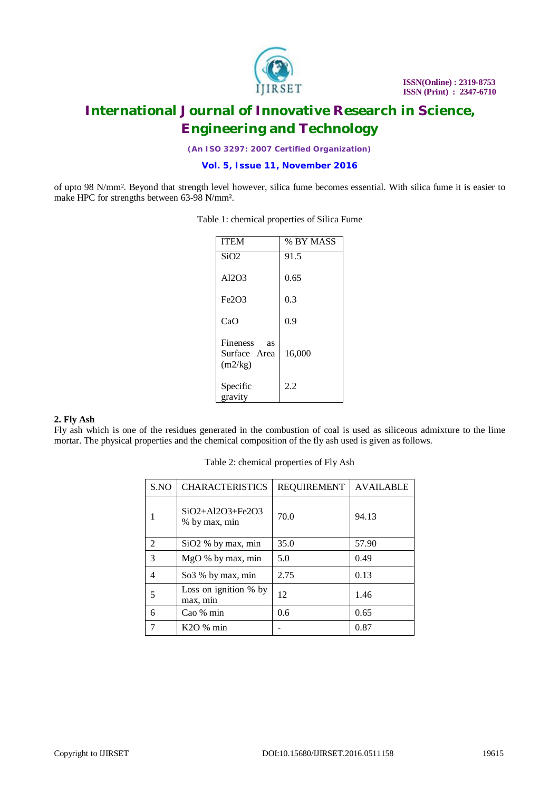

*(An ISO 3297: 2007 Certified Organization)*

**Vol. 5, Issue 11, November 2016**

of upto 98 N/mm². Beyond that strength level however, silica fume becomes essential. With silica fume it is easier to make HPC for strengths between 63-98 N/mm².

| <b>ITEM</b>                                      | % BY MASS |
|--------------------------------------------------|-----------|
| SiO2                                             | 91.5      |
| Al2O3                                            | 0.65      |
| Fe <sub>2</sub> O <sub>3</sub>                   | 0.3       |
| CaO                                              | 0.9       |
| <b>Fineness</b><br>as<br>Surface Area<br>(m2/kg) | 16,000    |
| Specific<br>gravity                              | 2.2       |

#### Table 1: chemical properties of Silica Fume

#### **2. Fly Ash**

Fly ash which is one of the residues generated in the combustion of coal is used as siliceous admixture to the lime mortar. The physical properties and the chemical composition of the fly ash used is given as follows.

| Table 2: chemical properties of Fly Ash |  |
|-----------------------------------------|--|
|                                         |  |

| S.NO           | <b>CHARACTERISTICS</b>                  | <b>REQUIREMENT</b> | <b>AVAILABLE</b> |
|----------------|-----------------------------------------|--------------------|------------------|
|                | $SiO2 + Al2O3 + Fe2O3$<br>% by max, min | 70.0               | 94.13            |
| $\mathfrak{D}$ | SiO <sub>2</sub> % by max, min          | 35.0               | 57.90            |
| 3              | MgO % by max, min                       | 5.0                | 0.49             |
| $\overline{4}$ | So3 % by max, min                       | 2.75               | 0.13             |
| 5              | Loss on ignition % by<br>max, min       | 12                 | 1.46             |
| 6              | Cao % min                               | 0.6                | 0.65             |
|                | K2O % min                               |                    | 0.87             |